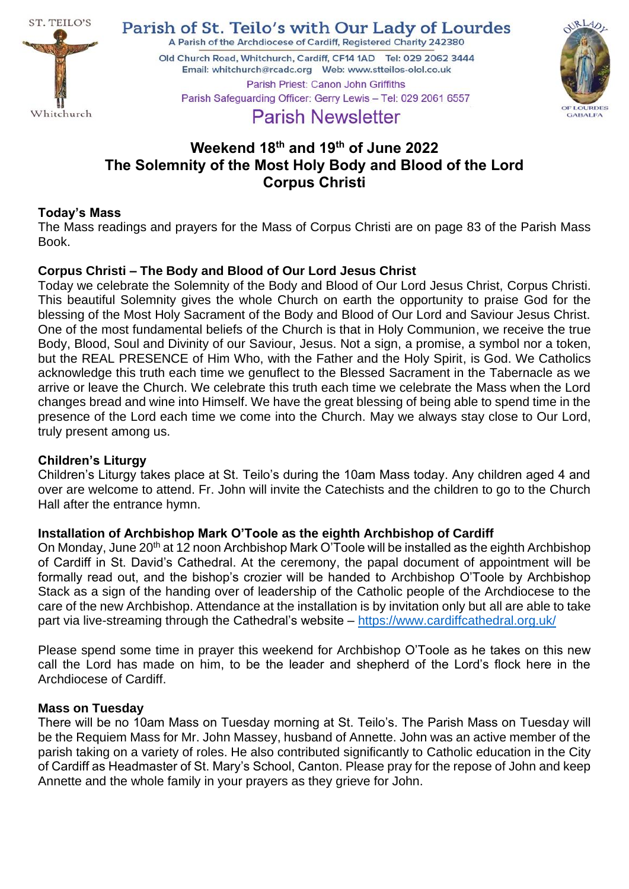

Parish of St. Teilo's with Our Lady of Lourdes

A Parish of the Archdiocese of Cardiff, Registered Charity 242380

Old Church Road, Whitchurch, Cardiff, CF14 1AD Tel: 029 2062 3444 Parish Priest: Canon John Griffiths Parish Safeguarding Officer: Gerry Lewis - Tel: 029 2061 6557



# **Parish Newsletter**

## **Weekend 18 th and 19 th of June 2022 The Solemnity of the Most Holy Body and Blood of the Lord Corpus Christi**

## **Today's Mass**

The Mass readings and prayers for the Mass of Corpus Christi are on page 83 of the Parish Mass Book.

## **Corpus Christi – The Body and Blood of Our Lord Jesus Christ**

Today we celebrate the Solemnity of the Body and Blood of Our Lord Jesus Christ, Corpus Christi. This beautiful Solemnity gives the whole Church on earth the opportunity to praise God for the blessing of the Most Holy Sacrament of the Body and Blood of Our Lord and Saviour Jesus Christ. One of the most fundamental beliefs of the Church is that in Holy Communion, we receive the true Body, Blood, Soul and Divinity of our Saviour, Jesus. Not a sign, a promise, a symbol nor a token, but the REAL PRESENCE of Him Who, with the Father and the Holy Spirit, is God. We Catholics acknowledge this truth each time we genuflect to the Blessed Sacrament in the Tabernacle as we arrive or leave the Church. We celebrate this truth each time we celebrate the Mass when the Lord changes bread and wine into Himself. We have the great blessing of being able to spend time in the presence of the Lord each time we come into the Church. May we always stay close to Our Lord, truly present among us.

## **Children's Liturgy**

Children's Liturgy takes place at St. Teilo's during the 10am Mass today. Any children aged 4 and over are welcome to attend. Fr. John will invite the Catechists and the children to go to the Church Hall after the entrance hymn.

## **Installation of Archbishop Mark O'Toole as the eighth Archbishop of Cardiff**

On Monday, June 20<sup>th</sup> at 12 noon Archbishop Mark O'Toole will be installed as the eighth Archbishop of Cardiff in St. David's Cathedral. At the ceremony, the papal document of appointment will be formally read out, and the bishop's crozier will be handed to Archbishop O'Toole by Archbishop Stack as a sign of the handing over of leadership of the Catholic people of the Archdiocese to the care of the new Archbishop. Attendance at the installation is by invitation only but all are able to take part via live-streaming through the Cathedral's website – <https://www.cardiffcathedral.org.uk/>

Please spend some time in prayer this weekend for Archbishop O'Toole as he takes on this new call the Lord has made on him, to be the leader and shepherd of the Lord's flock here in the Archdiocese of Cardiff.

## **Mass on Tuesday**

There will be no 10am Mass on Tuesday morning at St. Teilo's. The Parish Mass on Tuesday will be the Requiem Mass for Mr. John Massey, husband of Annette. John was an active member of the parish taking on a variety of roles. He also contributed significantly to Catholic education in the City of Cardiff as Headmaster of St. Mary's School, Canton. Please pray for the repose of John and keep Annette and the whole family in your prayers as they grieve for John.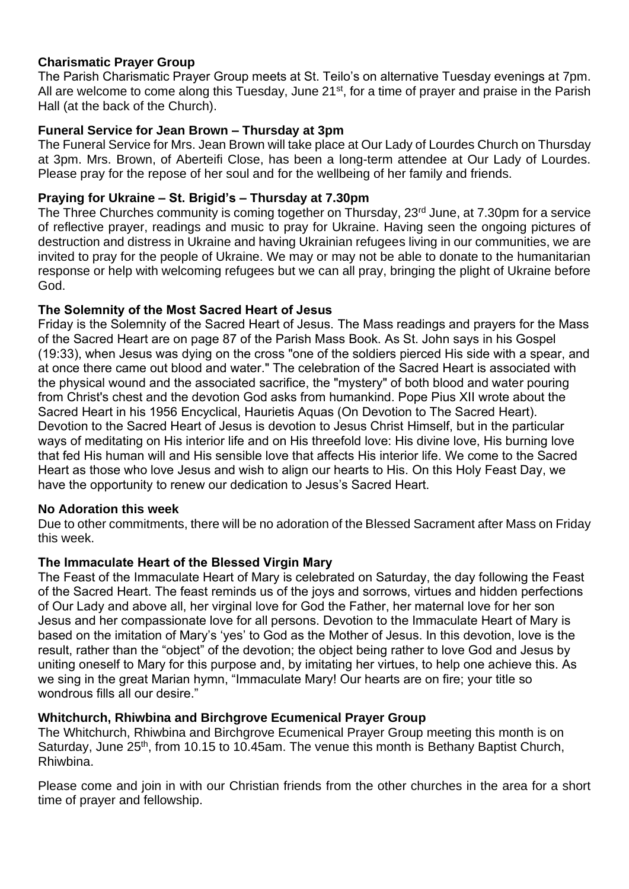## **Charismatic Prayer Group**

The Parish Charismatic Prayer Group meets at St. Teilo's on alternative Tuesday evenings at 7pm. All are welcome to come along this Tuesday, June 21<sup>st</sup>, for a time of prayer and praise in the Parish Hall (at the back of the Church).

## **Funeral Service for Jean Brown – Thursday at 3pm**

The Funeral Service for Mrs. Jean Brown will take place at Our Lady of Lourdes Church on Thursday at 3pm. Mrs. Brown, of Aberteifi Close, has been a long-term attendee at Our Lady of Lourdes. Please pray for the repose of her soul and for the wellbeing of her family and friends.

## **Praying for Ukraine – St. Brigid's – Thursday at 7.30pm**

The Three Churches community is coming together on Thursday, 23<sup>rd</sup> June, at 7.30pm for a service of reflective prayer, readings and music to pray for Ukraine. Having seen the ongoing pictures of destruction and distress in Ukraine and having Ukrainian refugees living in our communities, we are invited to pray for the people of Ukraine. We may or may not be able to donate to the humanitarian response or help with welcoming refugees but we can all pray, bringing the plight of Ukraine before God.

## **The Solemnity of the Most Sacred Heart of Jesus**

Friday is the Solemnity of the Sacred Heart of Jesus. The Mass readings and prayers for the Mass of the Sacred Heart are on page 87 of the Parish Mass Book. As St. John says in his Gospel (19:33), when Jesus was dying on the cross "one of the soldiers pierced His side with a spear, and at once there came out blood and water." The celebration of the Sacred Heart is associated with the physical wound and the associated sacrifice, the "mystery" of both blood and water pouring from Christ's chest and the devotion God asks from humankind. Pope Pius XII wrote about the Sacred Heart in his 1956 Encyclical, Haurietis Aquas (On Devotion to The Sacred Heart). Devotion to the Sacred Heart of Jesus is devotion to Jesus Christ Himself, but in the particular ways of meditating on His interior life and on His threefold love: His divine love, His burning love that fed His human will and His sensible love that affects His interior life. We come to the Sacred Heart as those who love Jesus and wish to align our hearts to His. On this Holy Feast Day, we have the opportunity to renew our dedication to Jesus's Sacred Heart.

#### **No Adoration this week**

Due to other commitments, there will be no adoration of the Blessed Sacrament after Mass on Friday this week.

## **The Immaculate Heart of the Blessed Virgin Mary**

The Feast of the Immaculate Heart of Mary is celebrated on Saturday, the day following the Feast of the Sacred Heart. The feast reminds us of the joys and sorrows, virtues and hidden perfections of Our Lady and above all, her virginal love for God the Father, her maternal love for her son Jesus and her compassionate love for all persons. Devotion to the Immaculate Heart of Mary is based on the imitation of Mary's 'yes' to God as the Mother of Jesus. In this devotion, love is the result, rather than the "object" of the devotion; the object being rather to love God and Jesus by uniting oneself to Mary for this purpose and, by imitating her virtues, to help one achieve this. As we sing in the great Marian hymn, "Immaculate Mary! Our hearts are on fire; your title so wondrous fills all our desire."

## **Whitchurch, Rhiwbina and Birchgrove Ecumenical Prayer Group**

The Whitchurch, Rhiwbina and Birchgrove Ecumenical Prayer Group meeting this month is on Saturday, June 25<sup>th</sup>, from 10.15 to 10.45am. The venue this month is Bethany Baptist Church, Rhiwbina.

Please come and join in with our Christian friends from the other churches in the area for a short time of prayer and fellowship.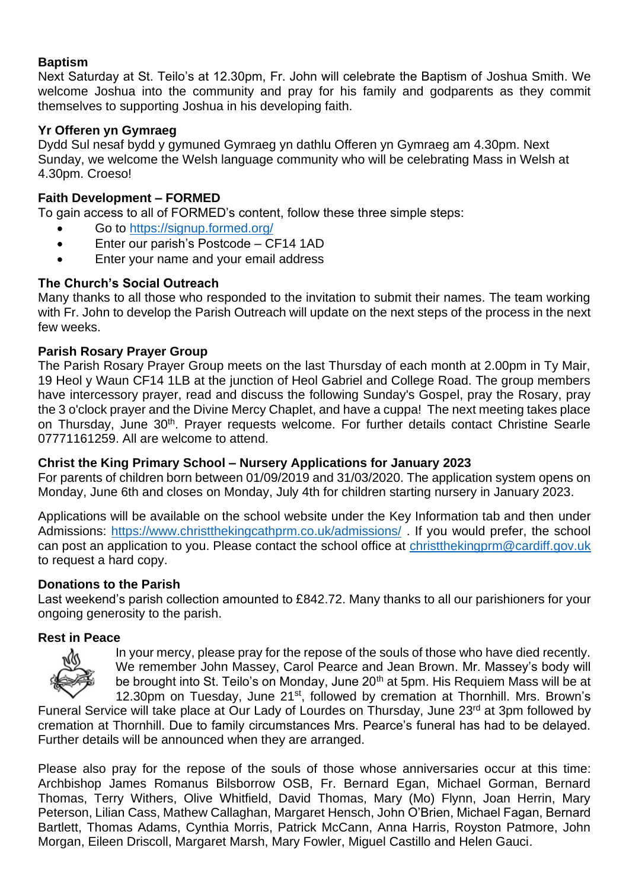## **Baptism**

Next Saturday at St. Teilo's at 12.30pm, Fr. John will celebrate the Baptism of Joshua Smith. We welcome Joshua into the community and pray for his family and godparents as they commit themselves to supporting Joshua in his developing faith.

## **Yr Offeren yn Gymraeg**

Dydd Sul nesaf bydd y gymuned Gymraeg yn dathlu Offeren yn Gymraeg am 4.30pm. Next Sunday, we welcome the Welsh language community who will be celebrating Mass in Welsh at 4.30pm. Croeso!

## **Faith Development – FORMED**

To gain access to all of FORMED's content, follow these three simple steps:

- Go to<https://signup.formed.org/>
- Enter our parish's Postcode CF14 1AD
- Enter your name and your email address

## **The Church's Social Outreach**

Many thanks to all those who responded to the invitation to submit their names. The team working with Fr. John to develop the Parish Outreach will update on the next steps of the process in the next few weeks.

## **Parish Rosary Prayer Group**

The Parish Rosary Prayer Group meets on the last Thursday of each month at 2.00pm in Ty Mair, 19 Heol y Waun CF14 1LB at the junction of Heol Gabriel and College Road. The group members have intercessory prayer, read and discuss the following Sunday's Gospel, pray the Rosary, pray the 3 o'clock prayer and the Divine Mercy Chaplet, and have a cuppa! The next meeting takes place on Thursday, June 30<sup>th</sup>. Prayer requests welcome. For further details contact Christine Searle 07771161259. All are welcome to attend.

#### **Christ the King Primary School – Nursery Applications for January 2023**

For parents of children born between 01/09/2019 and 31/03/2020. The application system opens on Monday, June 6th and closes on Monday, July 4th for children starting nursery in January 2023.

Applications will be available on the school website under the Key Information tab and then under Admissions:<https://www.christthekingcathprm.co.uk/admissions/> . If you would prefer, the school can post an application to you. Please contact the school office at [christthekingprm@cardiff.gov.uk](mailto:christthekingprm@cardiff.gov.uk) to request a hard copy.

#### **Donations to the Parish**

Last weekend's parish collection amounted to £842.72. Many thanks to all our parishioners for your ongoing generosity to the parish.

#### **Rest in Peace**



In your mercy, please pray for the repose of the souls of those who have died recently. We remember John Massey, Carol Pearce and Jean Brown. Mr. Massey's body will be brought into St. Teilo's on Monday, June 20<sup>th</sup> at 5pm. His Requiem Mass will be at 12.30pm on Tuesday, June 21<sup>st</sup>, followed by cremation at Thornhill. Mrs. Brown's

Funeral Service will take place at Our Lady of Lourdes on Thursday, June 23rd at 3pm followed by cremation at Thornhill. Due to family circumstances Mrs. Pearce's funeral has had to be delayed. Further details will be announced when they are arranged.

Please also pray for the repose of the souls of those whose anniversaries occur at this time: Archbishop James Romanus Bilsborrow OSB, Fr. Bernard Egan, Michael Gorman, Bernard Thomas, Terry Withers, Olive Whitfield, David Thomas, Mary (Mo) Flynn, Joan Herrin, Mary Peterson, Lilian Cass, Mathew Callaghan, Margaret Hensch, John O'Brien, Michael Fagan, Bernard Bartlett, Thomas Adams, Cynthia Morris, Patrick McCann, Anna Harris, Royston Patmore, John Morgan, Eileen Driscoll, Margaret Marsh, Mary Fowler, Miguel Castillo and Helen Gauci.